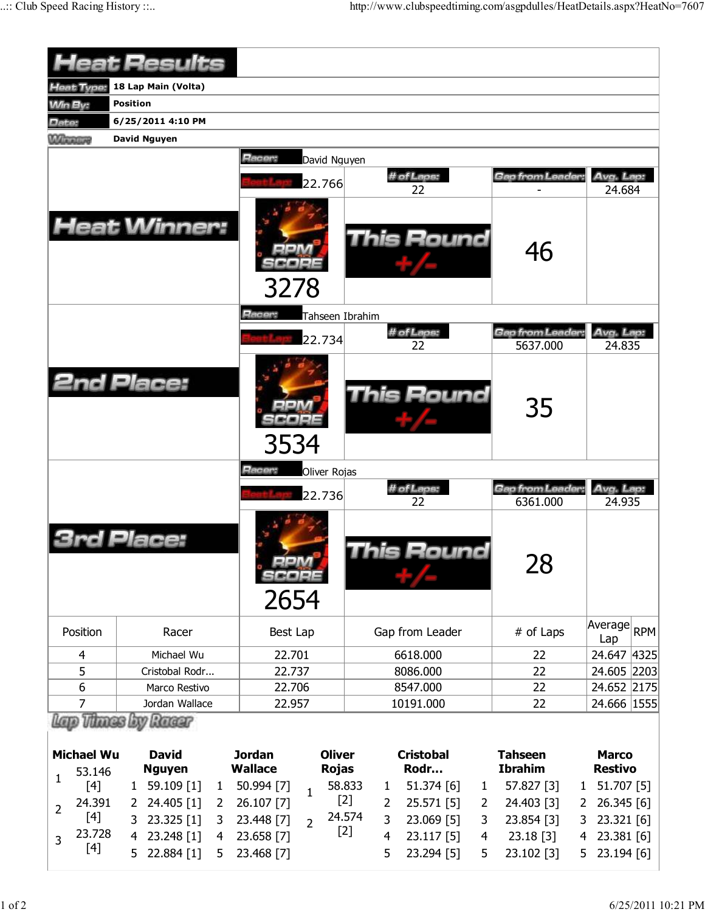|                             | <b><i><u> Ieat Results</u></i></b>                                                     |                                        |                                                    |                                  |                                |  |  |  |  |  |  |  |
|-----------------------------|----------------------------------------------------------------------------------------|----------------------------------------|----------------------------------------------------|----------------------------------|--------------------------------|--|--|--|--|--|--|--|
| leat Type:                  | 18 Lap Main (Volta)                                                                    |                                        |                                                    |                                  |                                |  |  |  |  |  |  |  |
| <b>Win By:</b>              | <b>Position</b>                                                                        |                                        |                                                    |                                  |                                |  |  |  |  |  |  |  |
| Date:                       | 6/25/2011 4:10 PM                                                                      |                                        |                                                    |                                  |                                |  |  |  |  |  |  |  |
| <b>Winners</b>              | David Nguyen                                                                           |                                        |                                                    |                                  |                                |  |  |  |  |  |  |  |
|                             |                                                                                        | Racer:<br>David Nguyen<br>22.766       | # of Laps:<br>22                                   | Gap from Leader                  | Avg. Lap:<br>24.684            |  |  |  |  |  |  |  |
|                             | <b>Heat Winner:</b>                                                                    | 3278                                   | <b>This Round</b>                                  | 46                               |                                |  |  |  |  |  |  |  |
|                             |                                                                                        | Racer:<br>Tahseen Ibrahim              |                                                    |                                  |                                |  |  |  |  |  |  |  |
|                             |                                                                                        | 22.734                                 | # of Laps:<br>22                                   | Gap from Leader<br>5637.000      | Avg. Lap:<br>24.835            |  |  |  |  |  |  |  |
|                             | <b>2nd Place:</b>                                                                      | 3534                                   | <b>This Round</b>                                  | 35                               |                                |  |  |  |  |  |  |  |
|                             |                                                                                        | Racer:<br>Oliver Rojas                 |                                                    |                                  |                                |  |  |  |  |  |  |  |
|                             |                                                                                        | 22.736                                 | # of Laps:                                         | Gap from Leader:<br>6361.000     | Avg. Lap:                      |  |  |  |  |  |  |  |
|                             | Place:                                                                                 | 3CO 2E<br>2654                         | 22<br>his Round                                    | 28                               | 24.935                         |  |  |  |  |  |  |  |
| Position                    | Racer                                                                                  | Best Lap                               | Gap from Leader                                    | # of Laps                        | Average<br><b>RPM</b><br>Lap   |  |  |  |  |  |  |  |
| 4                           | Michael Wu                                                                             | 22.701                                 | 6618.000                                           | 22                               | 24.647 4325                    |  |  |  |  |  |  |  |
| 5                           | Cristobal Rodr                                                                         | 22.737                                 | 8086.000                                           | 22                               | 24.605 2203                    |  |  |  |  |  |  |  |
| 6                           | Marco Restivo                                                                          | 22.706                                 | 8547.000                                           | 22                               | 24.652 2175                    |  |  |  |  |  |  |  |
| $\overline{7}$              | Jordan Wallace                                                                         | 22.957                                 | 10191.000                                          | 22                               | 24.666   1555                  |  |  |  |  |  |  |  |
| <b>Michael Wu</b><br>53.146 | <b>Exp Renager</b><br><b>David</b><br><b>Jordan</b><br><b>Wallace</b><br><b>Nguyen</b> |                                        | <b>Oliver</b><br><b>Cristobal</b><br>Rodr<br>Rojas | <b>Tahseen</b><br><b>Ibrahim</b> | <b>Marco</b><br><b>Restivo</b> |  |  |  |  |  |  |  |
| $\mathbf{1}$<br>[4]         | 59.109 [1]<br>1<br>$\mathbf{1}$                                                        | 50.994 [7]<br>$\mathbf{1}$             | 58.833<br>51.374 [6]<br>1<br>1                     | 57.827 [3]<br>$\mathbf{1}$       | 51.707 [5]                     |  |  |  |  |  |  |  |
| 24.391<br>$\overline{2}$    | 24.405 [1]<br>2<br>2                                                                   | 26.107 [7]                             | $[2]$<br>2<br>25.571 [5]<br>2                      | 24.403 [3]<br>2                  | 26.345 [6]                     |  |  |  |  |  |  |  |
| $[4]$                       | 23.325 [1]<br>3<br>3                                                                   | 24.574<br>23.448 [7]<br>$\overline{2}$ | 3<br>23.069 [5]<br>3                               | 23.854 [3]<br>3                  | 23.321 [6]                     |  |  |  |  |  |  |  |
| 23.728<br>$\overline{3}$    | 23.248 [1]<br>4<br>4                                                                   | $[2]$<br>23.658 [7]                    | 4<br>$23.117$ [5]<br>4                             | 23.18 [3]<br>4                   | 23.381 [6]                     |  |  |  |  |  |  |  |
| [4]                         | 22.884 [1]<br>5<br>5                                                                   | 23.468 [7]                             | 5<br>23.294 [5]<br>5                               | 23.102 [3]<br>5.                 | 23.194 [6]                     |  |  |  |  |  |  |  |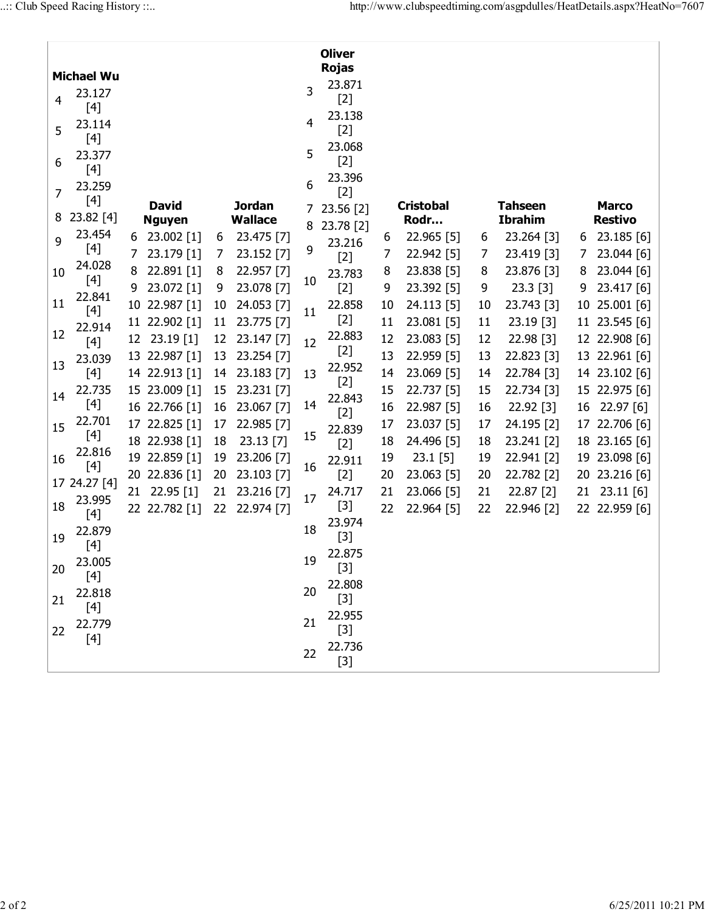| <b>Oliver</b>     |                                                                                                                                                                                                                                         |    |                               |    |                                 |        |                        |                          |            |    |                                  |                                |               |  |
|-------------------|-----------------------------------------------------------------------------------------------------------------------------------------------------------------------------------------------------------------------------------------|----|-------------------------------|----|---------------------------------|--------|------------------------|--------------------------|------------|----|----------------------------------|--------------------------------|---------------|--|
| <b>Michael Wu</b> |                                                                                                                                                                                                                                         |    |                               |    |                                 |        | <b>Rojas</b>           |                          |            |    |                                  |                                |               |  |
| 4                 | 23.127<br>$[4]$                                                                                                                                                                                                                         |    |                               |    |                                 | 3      | 23.871<br>$[2]$        |                          |            |    |                                  |                                |               |  |
| 5                 | 23.114<br>$[4]$                                                                                                                                                                                                                         |    |                               |    |                                 | 4      | 23.138<br>$[2]$        |                          |            |    |                                  |                                |               |  |
| 6                 | 23.377<br>$[4]$                                                                                                                                                                                                                         |    |                               |    |                                 | 5      | 23.068<br>$[2]$        |                          |            |    |                                  |                                |               |  |
| 7                 | 23.259                                                                                                                                                                                                                                  |    |                               |    |                                 | 6      | 23.396<br>$[2]$        |                          |            |    |                                  |                                |               |  |
| 8                 | $23.82$ [4]                                                                                                                                                                                                                             |    | <b>David</b><br><b>Nguyen</b> |    | <b>Jordan</b><br><b>Wallace</b> | 7<br>8 | 23.56 [2]<br>23.78 [2] | <b>Cristobal</b><br>Rodr |            |    | <b>Tahseen</b><br><b>Ibrahim</b> | <b>Marco</b><br><b>Restivo</b> |               |  |
| 9                 | 23.454                                                                                                                                                                                                                                  | 6  | 23.002 [1]                    | 6  | 23.475 [7]                      |        | 23.216                 | 6                        | 22.965 [5] | 6  | 23.264 [3]                       | 6                              | 23.185 [6]    |  |
|                   | [4]                                                                                                                                                                                                                                     | 7  | 23.179 [1]                    | 7  | 23.152 [7]                      | 9      | $[2]$                  | 7                        | 22.942 [5] | 7  | 23.419 [3]                       | 7                              | 23.044 [6]    |  |
| 10                | 24.028                                                                                                                                                                                                                                  | 8  | 22.891 [1]                    | 8  | 22.957 [7]                      |        | 23.783                 | 8                        | 23.838 [5] | 8  | 23.876 [3]                       | 8                              | 23.044 [6]    |  |
|                   | [4]                                                                                                                                                                                                                                     | 9  | 23.072 [1]                    | 9  | 23.078 [7]                      | 10     | $[2]$                  | 9                        | 23.392 [5] | 9  | 23.3 [3]                         | 9                              | 23.417 [6]    |  |
| 11                | 22.841                                                                                                                                                                                                                                  |    | 10 22.987 [1]                 | 10 | 24.053 [7]                      | 11     | 22.858                 | 10                       | 24.113 [5] | 10 | 23.743 [3]                       | 10                             | 25.001 [6]    |  |
|                   | $[4]$<br>22.914                                                                                                                                                                                                                         |    | 11 22.902 [1]                 | 11 | 23.775 [7]                      |        | $[2]$                  | 11                       | 23.081 [5] | 11 | $23.19$ [3]                      |                                | 11 23.545 [6] |  |
| 12                | $[4]$                                                                                                                                                                                                                                   | 12 | 23.19 [1]                     | 12 | 23.147 [7]                      | 12     | 22.883                 | 12                       | 23.083 [5] | 12 | 22.98 [3]                        |                                | 12 22.908 [6] |  |
|                   | 23.039                                                                                                                                                                                                                                  |    | 13 22.987 [1]                 | 13 | 23.254 [7]                      |        | $[2]$                  | 13                       | 22.959 [5] | 13 | 22.823 [3]                       |                                | 13 22.961 [6] |  |
| 13                | $[4] % \includegraphics[width=0.9\columnwidth]{figures/fig_1a} \caption{The figure shows the number of times, and the number of times, and the number of times, and the number of times, are indicated with the same.} \label{fig:1} %$ |    | 14 22.913 [1]                 | 14 | 23.183 [7]                      | 13     | 22.952                 | 14                       | 23.069 [5] | 14 | 22.784 [3]                       |                                | 14 23.102 [6] |  |
| 14                | 22.735                                                                                                                                                                                                                                  |    | 15 23.009 [1]                 | 15 | 23.231 [7]                      |        | $[2]$                  | 15                       | 22.737 [5] | 15 | 22.734 [3]                       |                                | 15 22.975 [6] |  |
|                   | $[4]$                                                                                                                                                                                                                                   |    | 16 22.766 [1]                 | 16 | 23.067 [7]                      | 14     | 22.843<br>$[2]$        | 16                       | 22.987 [5] | 16 | 22.92 [3]                        |                                | 16 22.97 [6]  |  |
| 15                | 22.701                                                                                                                                                                                                                                  |    | 17 22.825 [1]                 | 17 | 22.985 [7]                      |        | 22.839                 | 17                       | 23.037 [5] | 17 | 24.195 [2]                       |                                | 17 22.706 [6] |  |
|                   |                                                                                                                                                                                                                                         |    | 18 22.938 [1]                 | 18 | 23.13 [7]                       | 15     | $[2]$                  | 18                       | 24.496 [5] | 18 | 23.241 [2]                       |                                | 18 23.165 [6] |  |
| 16                | 22.816                                                                                                                                                                                                                                  |    | 19 22.859 [1]                 | 19 | 23.206 [7]                      |        | 22.911                 | 19                       | $23.1$ [5] | 19 | 22.941 [2]                       |                                | 19 23.098 [6] |  |
|                   | [4]<br>17 24.27 [4]                                                                                                                                                                                                                     |    | 20 22.836 [1]                 | 20 | 23.103 [7]                      | 16     | $[2]$                  | 20                       | 23.063 [5] | 20 | 22.782 [2]                       |                                | 20 23.216 [6] |  |
|                   | 23.995                                                                                                                                                                                                                                  | 21 | 22.95 [1]                     | 21 | 23.216 [7]                      | 17     | 24.717                 | 21                       | 23.066 [5] | 21 | 22.87 [2]                        | 21                             | $23.11$ [6]   |  |
| 18                | $[4]$                                                                                                                                                                                                                                   |    | 22 22.782 [1]                 | 22 | 22.974 [7]                      |        | $[3]$                  | 22                       | 22.964 [5] | 22 | 22.946 [2]                       |                                | 22 22.959 [6] |  |
|                   | 22.879                                                                                                                                                                                                                                  |    |                               |    |                                 | 18     | 23.974                 |                          |            |    |                                  |                                |               |  |
| 19                |                                                                                                                                                                                                                                         |    |                               |    |                                 |        | $[3]$                  |                          |            |    |                                  |                                |               |  |
| 20                | 23.005<br>$[4]$                                                                                                                                                                                                                         |    |                               |    |                                 | 19     | 22.875<br>$[3]$        |                          |            |    |                                  |                                |               |  |
| 21                | 22.818<br>$[4]$                                                                                                                                                                                                                         |    |                               |    |                                 | 20     | 22.808<br>$[3]$        |                          |            |    |                                  |                                |               |  |
| 22                | 22.779<br>$[4]$                                                                                                                                                                                                                         |    |                               |    |                                 | 21     | 22.955<br>$[3]$        |                          |            |    |                                  |                                |               |  |
|                   |                                                                                                                                                                                                                                         |    |                               |    |                                 | 22     | 22.736<br>$[3]$        |                          |            |    |                                  |                                |               |  |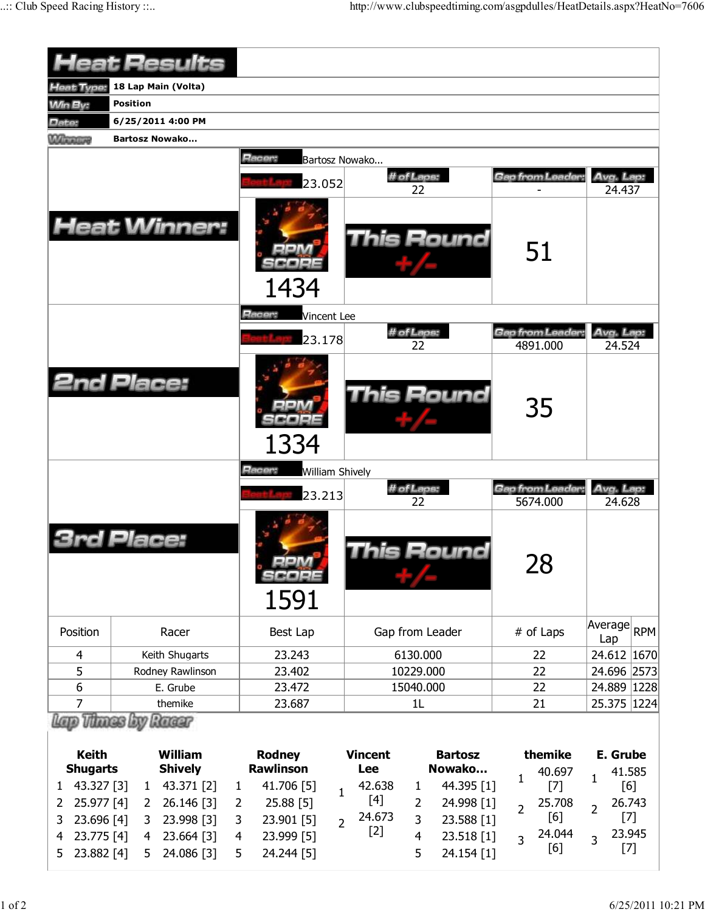|                                    | <b>Heat Results</b>                          |                                             |                                                   |                               |                               |  |  |  |  |  |  |
|------------------------------------|----------------------------------------------|---------------------------------------------|---------------------------------------------------|-------------------------------|-------------------------------|--|--|--|--|--|--|
| <b>Heat Type:</b>                  | 18 Lap Main (Volta)                          |                                             |                                                   |                               |                               |  |  |  |  |  |  |
| <b>Min By:</b>                     | <b>Position</b>                              |                                             |                                                   |                               |                               |  |  |  |  |  |  |
| Date:                              | 6/25/2011 4:00 PM                            |                                             |                                                   |                               |                               |  |  |  |  |  |  |
| <b>Winners</b>                     | <b>Bartosz Nowako</b>                        |                                             |                                                   |                               |                               |  |  |  |  |  |  |
|                                    |                                              | Racer:<br>Bartosz Nowako<br>23.052          | # of Laps:<br>22                                  | Gap from Leader               | Avg. Lap:<br>24.437           |  |  |  |  |  |  |
|                                    | <b>Heat Winner:</b>                          | 1434                                        | <b>This Round</b>                                 | 51                            |                               |  |  |  |  |  |  |
|                                    |                                              | Racer:<br><b>Vincent Lee</b>                | # of Laps:                                        | Gap from Leader:<br>Avg. Lap: |                               |  |  |  |  |  |  |
|                                    |                                              | 23.178                                      | 22                                                | 4891.000                      | 24.524                        |  |  |  |  |  |  |
|                                    | <b>2nd Place:</b>                            | 1334                                        | <b>This Round</b>                                 | 35                            |                               |  |  |  |  |  |  |
|                                    |                                              | Racer:<br><b>William Shively</b>            |                                                   |                               |                               |  |  |  |  |  |  |
|                                    |                                              | 23.213                                      | # of Laps:                                        | Gap from Leader               | Avg. Lap:                     |  |  |  |  |  |  |
|                                    | Place:                                       | $=1.41\,\mathrm{m}$<br>se a e s<br>1591     | 22<br>his Round                                   | 5674.000<br>28                | 24.628                        |  |  |  |  |  |  |
| Position                           | Racer                                        | Best Lap                                    | Gap from Leader                                   | # of Laps                     | Average RPM<br>Lap            |  |  |  |  |  |  |
| 4                                  | Keith Shugarts                               | 23.243                                      | 6130.000                                          | 22                            | 24.612 1670                   |  |  |  |  |  |  |
| 5                                  | Rodney Rawlinson                             | 23.402                                      | 10229.000                                         | 22                            | 24.696 2573                   |  |  |  |  |  |  |
| 6                                  | E. Grube                                     | 23.472                                      | 15040.000                                         | 22                            | 24.889   1228                 |  |  |  |  |  |  |
| $\overline{7}$<br>themike          |                                              | 23.687                                      | 1L                                                | 21                            | 25.375 1224                   |  |  |  |  |  |  |
| <b>Keith</b>                       | <b><i>Things by</i></b><br>Racer<br>William  | <b>Rodney</b><br><b>Rawlinson</b>           | <b>Bartosz</b><br><b>Vincent</b><br>Nowako<br>Lee | themike                       | E. Grube                      |  |  |  |  |  |  |
| <b>Shugarts</b><br>43.327 [3]<br>1 | <b>Shively</b><br>43.371 [2]<br>$\mathbf{1}$ | 41.706 [5]<br>$\mathbf{1}$                  | 44.395 [1]<br>42.638<br>1                         | 40.697<br>1<br>$[7]$          | 41.585<br>$\mathbf{1}$<br>[6] |  |  |  |  |  |  |
| 25.977 [4]<br>2                    | 26.146 [3]<br>2                              | $\mathbf{1}$<br>25.88 [5]<br>$\overline{2}$ | $[4]$<br>24.998 [1]<br>$\overline{2}$             | 25.708                        | 26.743                        |  |  |  |  |  |  |
| 23.696 [4]<br>3                    | 23.998 [3]<br>3                              | 23.901 [5]<br>3                             | 24.673<br>3<br>23.588 [1]                         | $\overline{2}$<br>[6]         | $\overline{2}$<br>$[7]$       |  |  |  |  |  |  |
| 23.775 [4]<br>4                    | 23.664 [3]<br>4                              | $\overline{2}$<br>23.999 [5]<br>4           | $[2]$<br>23.518 [1]<br>4                          | 24.044<br>$\overline{3}$      | 23.945<br>$\overline{3}$      |  |  |  |  |  |  |
| 23.882 [4]<br>5                    | 24.086 [3]<br>5                              | 24.244 [5]<br>5                             | 5<br>24.154 [1]                                   | [6]                           | $[7]$                         |  |  |  |  |  |  |